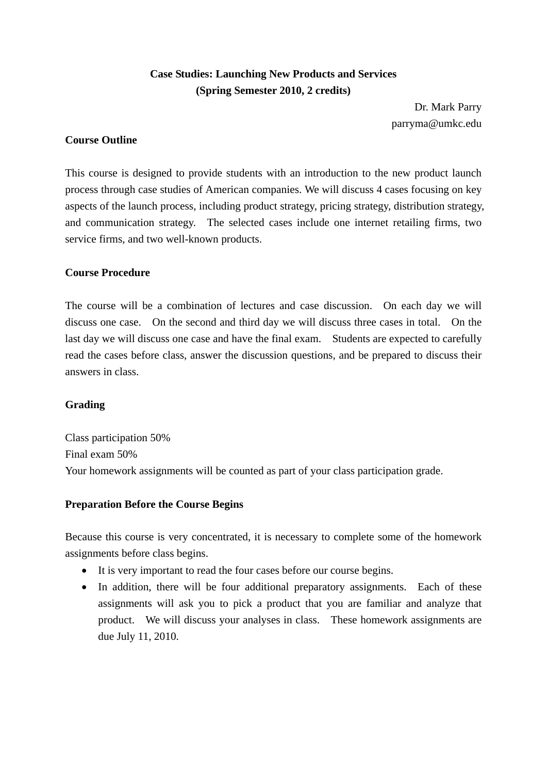# **Case Studies: Launching New Products and Services (Spring Semester 2010, 2 credits)**

Dr. Mark Parry parryma@umkc.edu

## **Course Outline**

This course is designed to provide students with an introduction to the new product launch process through case studies of American companies. We will discuss 4 cases focusing on key aspects of the launch process, including product strategy, pricing strategy, distribution strategy, and communication strategy. The selected cases include one internet retailing firms, two service firms, and two well-known products.

## **Course Procedure**

The course will be a combination of lectures and case discussion. On each day we will discuss one case. On the second and third day we will discuss three cases in total. On the last day we will discuss one case and have the final exam. Students are expected to carefully read the cases before class, answer the discussion questions, and be prepared to discuss their answers in class.

#### **Grading**

Class participation 50% Final exam 50% Your homework assignments will be counted as part of your class participation grade.

#### **Preparation Before the Course Begins**

Because this course is very concentrated, it is necessary to complete some of the homework assignments before class begins.

- It is very important to read the four cases before our course begins.
- In addition, there will be four additional preparatory assignments. Each of these assignments will ask you to pick a product that you are familiar and analyze that product. We will discuss your analyses in class. These homework assignments are due July 11, 2010.